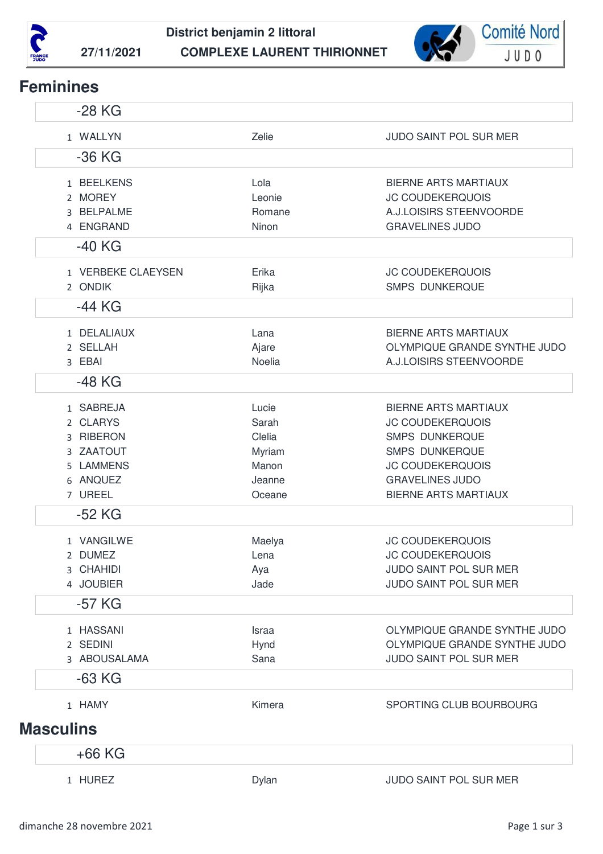



## **Feminines**

| $-28$ KG                                                                            |                                                                 |                                                                                                                                                                                              |
|-------------------------------------------------------------------------------------|-----------------------------------------------------------------|----------------------------------------------------------------------------------------------------------------------------------------------------------------------------------------------|
| 1 WALLYN                                                                            | Zelie                                                           | <b>JUDO SAINT POL SUR MER</b>                                                                                                                                                                |
| $-36$ KG                                                                            |                                                                 |                                                                                                                                                                                              |
| 1 BEELKENS<br>2 MOREY<br>3 BELPALME<br>4 ENGRAND<br>$-40$ KG                        | Lola<br>Leonie<br>Romane<br>Ninon                               | <b>BIERNE ARTS MARTIAUX</b><br><b>JC COUDEKERQUOIS</b><br>A.J.LOISIRS STEENVOORDE<br><b>GRAVELINES JUDO</b>                                                                                  |
| 1 VERBEKE CLAEYSEN<br>2 ONDIK                                                       | Erika<br>Rijka                                                  | <b>JC COUDEKERQUOIS</b><br><b>SMPS DUNKERQUE</b>                                                                                                                                             |
| $-44$ KG                                                                            |                                                                 |                                                                                                                                                                                              |
| 1 DELALIAUX<br>2 SELLAH<br>3 EBAI                                                   | Lana<br>Ajare<br>Noelia                                         | <b>BIERNE ARTS MARTIAUX</b><br>OLYMPIQUE GRANDE SYNTHE JUDO<br>A.J.LOISIRS STEENVOORDE                                                                                                       |
| -48 KG                                                                              |                                                                 |                                                                                                                                                                                              |
| 1 SABREJA<br>2 CLARYS<br>3 RIBERON<br>3 ZAATOUT<br>5 LAMMENS<br>6 ANQUEZ<br>7 UREEL | Lucie<br>Sarah<br>Clelia<br>Myriam<br>Manon<br>Jeanne<br>Oceane | <b>BIERNE ARTS MARTIAUX</b><br><b>JC COUDEKERQUOIS</b><br><b>SMPS DUNKERQUE</b><br><b>SMPS DUNKERQUE</b><br><b>JC COUDEKERQUOIS</b><br><b>GRAVELINES JUDO</b><br><b>BIERNE ARTS MARTIAUX</b> |
| $-52$ KG                                                                            |                                                                 |                                                                                                                                                                                              |
| 1 VANGILWE<br>2 DUMEZ<br>3 CHAHIDI<br>4 JOUBIER                                     | Maelya<br>Lena<br>Aya<br>Jade                                   | <b>JC COUDEKERQUOIS</b><br>JC COUDEKERQUOIS<br>JUDO SAINT POL SUR MER<br>JUDO SAINT POL SUR MER                                                                                              |
| $-57$ KG                                                                            |                                                                 |                                                                                                                                                                                              |
| 1 HASSANI<br>2 SEDINI<br>3 ABOUSALAMA                                               | Israa<br>Hynd<br>Sana                                           | OLYMPIQUE GRANDE SYNTHE JUDO<br>OLYMPIQUE GRANDE SYNTHE JUDO<br>JUDO SAINT POL SUR MER                                                                                                       |
| $-63$ KG                                                                            |                                                                 |                                                                                                                                                                                              |
| 1 HAMY                                                                              | Kimera                                                          | SPORTING CLUB BOURBOURG                                                                                                                                                                      |
| <b>Masculins</b>                                                                    |                                                                 |                                                                                                                                                                                              |
| $+66$ KG                                                                            |                                                                 |                                                                                                                                                                                              |
| 1 HUREZ                                                                             | Dylan                                                           | JUDO SAINT POL SUR MER                                                                                                                                                                       |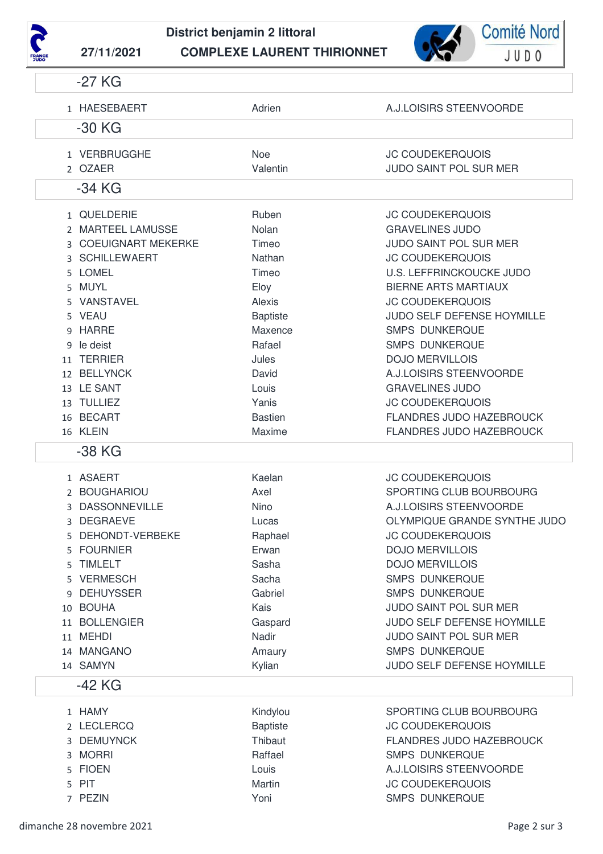



|   | $-27$ KG             |                 |                                 |
|---|----------------------|-----------------|---------------------------------|
|   | 1 HAESEBAERT         | Adrien          | A.J.LOISIRS STEENVOORDE         |
|   | $-30$ KG             |                 |                                 |
|   | 1 VERBRUGGHE         | <b>Noe</b>      | <b>JC COUDEKERQUOIS</b>         |
|   | 2 OZAER              | Valentin        | <b>JUDO SAINT POL SUR MER</b>   |
|   | -34 KG               |                 |                                 |
|   | 1 QUELDERIE          | Ruben           | <b>JC COUDEKERQUOIS</b>         |
|   | 2 MARTEEL LAMUSSE    | Nolan           | <b>GRAVELINES JUDO</b>          |
|   | 3 COEUIGNART MEKERKE | Timeo           | <b>JUDO SAINT POL SUR MER</b>   |
|   | 3 SCHILLEWAERT       | Nathan          | <b>JC COUDEKERQUOIS</b>         |
|   | 5 LOMEL              | Timeo           | <b>U.S. LEFFRINCKOUCKE JUDO</b> |
|   | 5 MUYL               | Eloy            | <b>BIERNE ARTS MARTIAUX</b>     |
|   | 5 VANSTAVEL          | Alexis          | <b>JC COUDEKERQUOIS</b>         |
|   | 5 VEAU               | <b>Baptiste</b> | JUDO SELF DEFENSE HOYMILLE      |
|   | 9 HARRE              | Maxence         | <b>SMPS DUNKERQUE</b>           |
|   | 9 le deist           | Rafael          | <b>SMPS DUNKERQUE</b>           |
|   | 11 TERRIER           | Jules           | <b>DOJO MERVILLOIS</b>          |
|   | 12 BELLYNCK          | David           | A.J.LOISIRS STEENVOORDE         |
|   | 13 LE SANT           | Louis           | <b>GRAVELINES JUDO</b>          |
|   | 13 TULLIEZ           | Yanis           | <b>JC COUDEKERQUOIS</b>         |
|   | 16 BECART            | <b>Bastien</b>  | <b>FLANDRES JUDO HAZEBROUCK</b> |
|   | 16 KLEIN             | Maxime          | FLANDRES JUDO HAZEBROUCK        |
|   | -38 KG               |                 |                                 |
|   | 1 ASAERT             | Kaelan          | <b>JC COUDEKERQUOIS</b>         |
|   | 2 BOUGHARIOU         | Axel            | SPORTING CLUB BOURBOURG         |
|   | 3 DASSONNEVILLE      | Nino            | A.J.LOISIRS STEENVOORDE         |
|   | 3 DEGRAEVE           | Lucas           | OLYMPIQUE GRANDE SYNTHE JUDO    |
|   | 5 DEHONDT-VERBEKE    | Raphael         | <b>JC COUDEKERQUOIS</b>         |
|   | 5 FOURNIER           | Erwan           | <b>DOJO MERVILLOIS</b>          |
|   | 5 TIMLELT            | Sasha           | <b>DOJO MERVILLOIS</b>          |
|   | 5 VERMESCH           | Sacha           | <b>SMPS DUNKERQUE</b>           |
| 9 | <b>DEHUYSSER</b>     | Gabriel         | <b>SMPS DUNKERQUE</b>           |
|   | 10 BOUHA             | Kais            | JUDO SAINT POL SUR MER          |
|   | 11 BOLLENGIER        | Gaspard         | JUDO SELF DEFENSE HOYMILLE      |
|   | 11 MEHDI             | Nadir           | JUDO SAINT POL SUR MER          |
|   | 14 MANGANO           | Amaury          | <b>SMPS DUNKERQUE</b>           |
|   | 14 SAMYN             | Kylian          | JUDO SELF DEFENSE HOYMILLE      |
|   | -42 KG               |                 |                                 |
|   | 1 HAMY               | Kindylou        | SPORTING CLUB BOURBOURG         |
|   | 2 LECLERCQ           | <b>Baptiste</b> | JC COUDEKERQUOIS                |
|   | 3 DEMUYNCK           | Thibaut         | FLANDRES JUDO HAZEBROUCK        |
|   | 3 MORRI              | Raffael         | <b>SMPS DUNKERQUE</b>           |
|   |                      | Louis           | A.J.LOISIRS STEENVOORDE         |
|   | 5 FIOEN              |                 |                                 |
|   | 5 PIT                | Martin          | <b>JC COUDEKERQUOIS</b>         |
|   | 7 PEZIN              | Yoni            | SMPS DUNKERQUE                  |

dimanche 28 novembre 2021